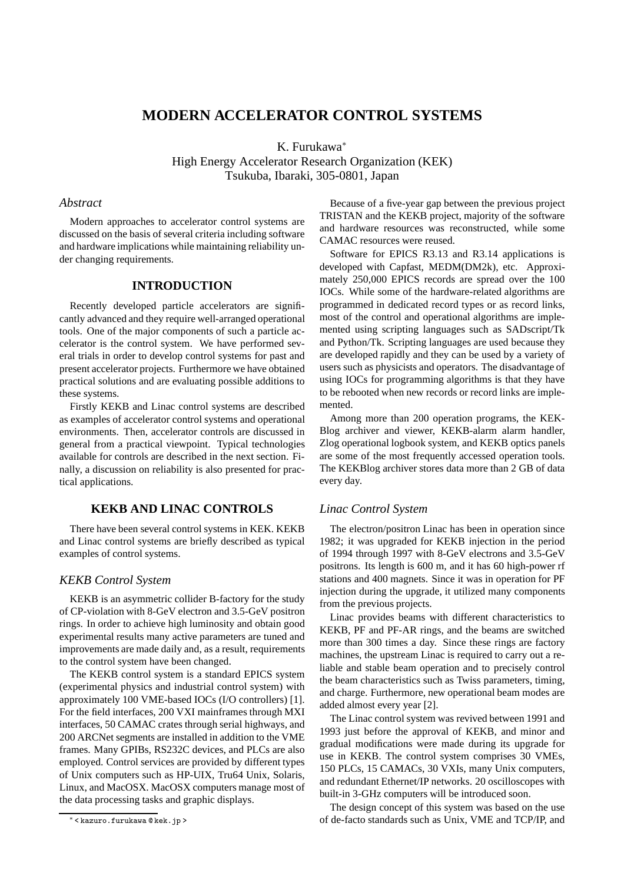# **MODERN ACCELERATOR CONTROL SYSTEMS**

K. Furukawa<sup>∗</sup>

High Energy Accelerator Research Organization (KEK) Tsukuba, Ibaraki, 305-0801, Japan

# *Abstract*

Modern approaches to accelerator control systems are discussed on the basis of several criteria including software and hardware implications while maintaining reliability under changing requirements.

# **INTRODUCTION**

Recently developed particle accelerators are significantly advanced and they require well-arranged operational tools. One of the major components of such a particle accelerator is the control system. We have performed several trials in order to develop control systems for past and present accelerator projects. Furthermore we have obtained practical solutions and are evaluating possible additions to these systems.

Firstly KEKB and Linac control systems are described as examples of accelerator control systems and operational environments. Then, accelerator controls are discussed in general from a practical viewpoint. Typical technologies available for controls are described in the next section. Finally, a discussion on reliability is also presented for practical applications.

# **KEKB AND LINAC CONTROLS**

There have been several control systems in KEK. KEKB and Linac control systems are briefly described as typical examples of control systems.

# *KEKB Control System*

KEKB is an asymmetric collider B-factory for the study of CP-violation with 8-GeV electron and 3.5-GeV positron rings. In order to achieve high luminosity and obtain good experimental results many active parameters are tuned and improvements are made daily and, as a result, requirements to the control system have been changed.

The KEKB control system is a standard EPICS system (experimental physics and industrial control system) with approximately 100 VME-based IOCs (I/O controllers) [1]. For the field interfaces, 200 VXI mainframes through MXI interfaces, 50 CAMAC crates through serial highways, and 200 ARCNet segments are installed in addition to the VME frames. Many GPIBs, RS232C devices, and PLCs are also employed. Control services are provided by different types of Unix computers such as HP-UIX, Tru64 Unix, Solaris, Linux, and MacOSX. MacOSX computers manage most of the data processing tasks and graphic displays.

Because of a five-year gap between the previous project TRISTAN and the KEKB project, majority of the software and hardware resources was reconstructed, while some CAMAC resources were reused.

Software for EPICS R3.13 and R3.14 applications is developed with Capfast, MEDM(DM2k), etc. Approximately 250,000 EPICS records are spread over the 100 IOCs. While some of the hardware-related algorithms are programmed in dedicated record types or as record links, most of the control and operational algorithms are implemented using scripting languages such as SADscript/Tk and Python/Tk. Scripting languages are used because they are developed rapidly and they can be used by a variety of users such as physicists and operators. The disadvantage of using IOCs for programming algorithms is that they have to be rebooted when new records or record links are implemented.

Among more than 200 operation programs, the KEK-Blog archiver and viewer, KEKB-alarm alarm handler, Zlog operational logbook system, and KEKB optics panels are some of the most frequently accessed operation tools. The KEKBlog archiver stores data more than 2 GB of data every day.

# *Linac Control System*

The electron/positron Linac has been in operation since 1982; it was upgraded for KEKB injection in the period of 1994 through 1997 with 8-GeV electrons and 3.5-GeV positrons. Its length is 600 m, and it has 60 high-power rf stations and 400 magnets. Since it was in operation for PF injection during the upgrade, it utilized many components from the previous projects.

Linac provides beams with different characteristics to KEKB, PF and PF-AR rings, and the beams are switched more than 300 times a day. Since these rings are factory machines, the upstream Linac is required to carry out a reliable and stable beam operation and to precisely control the beam characteristics such as Twiss parameters, timing, and charge. Furthermore, new operational beam modes are added almost every year [2].

The Linac control system was revived between 1991 and 1993 just before the approval of KEKB, and minor and gradual modifications were made during its upgrade for use in KEKB. The control system comprises 30 VMEs, 150 PLCs, 15 CAMACs, 30 VXIs, many Unix computers, and redundant Ethernet/IP networks. 20 oscilloscopes with built-in 3-GHz computers will be introduced soon.

The design concept of this system was based on the use of de-facto standards such as Unix, VME and TCP/IP, and

<sup>∗</sup> < kazuro.furukawa @ kek.jp >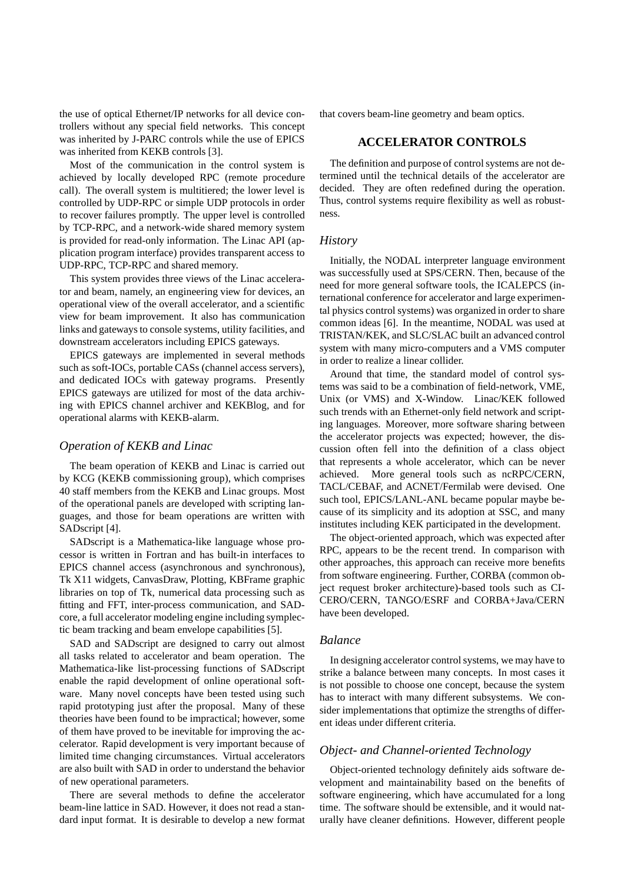the use of optical Ethernet/IP networks for all device controllers without any special field networks. This concept was inherited by J-PARC controls while the use of EPICS was inherited from KEKB controls [3].

Most of the communication in the control system is achieved by locally developed RPC (remote procedure call). The overall system is multitiered; the lower level is controlled by UDP-RPC or simple UDP protocols in order to recover failures promptly. The upper level is controlled by TCP-RPC, and a network-wide shared memory system is provided for read-only information. The Linac API (application program interface) provides transparent access to UDP-RPC, TCP-RPC and shared memory.

This system provides three views of the Linac accelerator and beam, namely, an engineering view for devices, an operational view of the overall accelerator, and a scientific view for beam improvement. It also has communication links and gateways to console systems, utility facilities, and downstream accelerators including EPICS gateways.

EPICS gateways are implemented in several methods such as soft-IOCs, portable CASs (channel access servers), and dedicated IOCs with gateway programs. Presently EPICS gateways are utilized for most of the data archiving with EPICS channel archiver and KEKBlog, and for operational alarms with KEKB-alarm.

### *Operation of KEKB and Linac*

The beam operation of KEKB and Linac is carried out by KCG (KEKB commissioning group), which comprises 40 staff members from the KEKB and Linac groups. Most of the operational panels are developed with scripting languages, and those for beam operations are written with SADscript [4].

SADscript is a Mathematica-like language whose processor is written in Fortran and has built-in interfaces to EPICS channel access (asynchronous and synchronous), Tk X11 widgets, CanvasDraw, Plotting, KBFrame graphic libraries on top of Tk, numerical data processing such as fitting and FFT, inter-process communication, and SADcore, a full accelerator modeling engine including symplectic beam tracking and beam envelope capabilities [5].

SAD and SADscript are designed to carry out almost all tasks related to accelerator and beam operation. The Mathematica-like list-processing functions of SADscript enable the rapid development of online operational software. Many novel concepts have been tested using such rapid prototyping just after the proposal. Many of these theories have been found to be impractical; however, some of them have proved to be inevitable for improving the accelerator. Rapid development is very important because of limited time changing circumstances. Virtual accelerators are also built with SAD in order to understand the behavior of new operational parameters.

There are several methods to define the accelerator beam-line lattice in SAD. However, it does not read a standard input format. It is desirable to develop a new format

that covers beam-line geometry and beam optics.

### **ACCELERATOR CONTROLS**

The definition and purpose of control systems are not determined until the technical details of the accelerator are decided. They are often redefined during the operation. Thus, control systems require flexibility as well as robustness.

#### *History*

Initially, the NODAL interpreter language environment was successfully used at SPS/CERN. Then, because of the need for more general software tools, the ICALEPCS (international conference for accelerator and large experimental physics control systems) was organized in order to share common ideas [6]. In the meantime, NODAL was used at TRISTAN/KEK, and SLC/SLAC built an advanced control system with many micro-computers and a VMS computer in order to realize a linear collider.

Around that time, the standard model of control systems was said to be a combination of field-network, VME, Unix (or VMS) and X-Window. Linac/KEK followed such trends with an Ethernet-only field network and scripting languages. Moreover, more software sharing between the accelerator projects was expected; however, the discussion often fell into the definition of a class object that represents a whole accelerator, which can be never achieved. More general tools such as ncRPC/CERN, TACL/CEBAF, and ACNET/Fermilab were devised. One such tool, EPICS/LANL-ANL became popular maybe because of its simplicity and its adoption at SSC, and many institutes including KEK participated in the development.

The object-oriented approach, which was expected after RPC, appears to be the recent trend. In comparison with other approaches, this approach can receive more benefits from software engineering. Further, CORBA (common object request broker architecture)-based tools such as CI-CERO/CERN, TANGO/ESRF and CORBA+Java/CERN have been developed.

### *Balance*

In designing accelerator control systems, we may have to strike a balance between many concepts. In most cases it is not possible to choose one concept, because the system has to interact with many different subsystems. We consider implementations that optimize the strengths of different ideas under different criteria.

### *Object- and Channel-oriented Technology*

Object-oriented technology definitely aids software development and maintainability based on the benefits of software engineering, which have accumulated for a long time. The software should be extensible, and it would naturally have cleaner definitions. However, different people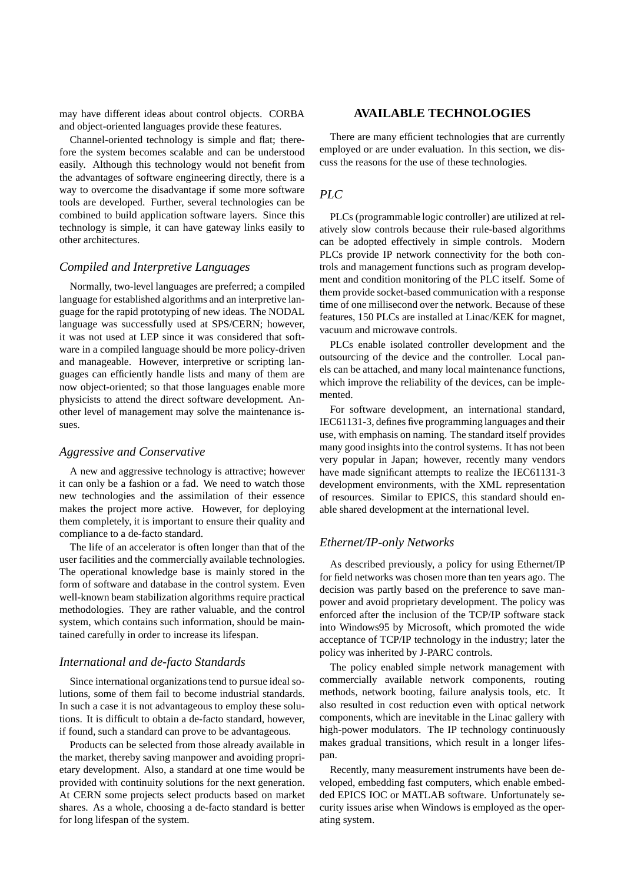may have different ideas about control objects. CORBA and object-oriented languages provide these features.

Channel-oriented technology is simple and flat; therefore the system becomes scalable and can be understood easily. Although this technology would not benefit from the advantages of software engineering directly, there is a way to overcome the disadvantage if some more software tools are developed. Further, several technologies can be combined to build application software layers. Since this technology is simple, it can have gateway links easily to other architectures.

## *Compiled and Interpretive Languages*

Normally, two-level languages are preferred; a compiled language for established algorithms and an interpretive language for the rapid prototyping of new ideas. The NODAL language was successfully used at SPS/CERN; however, it was not used at LEP since it was considered that software in a compiled language should be more policy-driven and manageable. However, interpretive or scripting languages can efficiently handle lists and many of them are now object-oriented; so that those languages enable more physicists to attend the direct software development. Another level of management may solve the maintenance issues.

# *Aggressive and Conservative*

A new and aggressive technology is attractive; however it can only be a fashion or a fad. We need to watch those new technologies and the assimilation of their essence makes the project more active. However, for deploying them completely, it is important to ensure their quality and compliance to a de-facto standard.

The life of an accelerator is often longer than that of the user facilities and the commercially available technologies. The operational knowledge base is mainly stored in the form of software and database in the control system. Even well-known beam stabilization algorithms require practical methodologies. They are rather valuable, and the control system, which contains such information, should be maintained carefully in order to increase its lifespan.

## *International and de-facto Standards*

Since international organizations tend to pursue ideal solutions, some of them fail to become industrial standards. In such a case it is not advantageous to employ these solutions. It is difficult to obtain a de-facto standard, however, if found, such a standard can prove to be advantageous.

Products can be selected from those already available in the market, thereby saving manpower and avoiding proprietary development. Also, a standard at one time would be provided with continuity solutions for the next generation. At CERN some projects select products based on market shares. As a whole, choosing a de-facto standard is better for long lifespan of the system.

# **AVAILABLE TECHNOLOGIES**

There are many efficient technologies that are currently employed or are under evaluation. In this section, we discuss the reasons for the use of these technologies.

# *PLC*

PLCs (programmable logic controller) are utilized at relatively slow controls because their rule-based algorithms can be adopted effectively in simple controls. Modern PLCs provide IP network connectivity for the both controls and management functions such as program development and condition monitoring of the PLC itself. Some of them provide socket-based communication with a response time of one millisecond over the network. Because of these features, 150 PLCs are installed at Linac/KEK for magnet, vacuum and microwave controls.

PLCs enable isolated controller development and the outsourcing of the device and the controller. Local panels can be attached, and many local maintenance functions, which improve the reliability of the devices, can be implemented.

For software development, an international standard, IEC61131-3, defines five programming languages and their use, with emphasis on naming. The standard itself provides many good insights into the control systems. It has not been very popular in Japan; however, recently many vendors have made significant attempts to realize the IEC61131-3 development environments, with the XML representation of resources. Similar to EPICS, this standard should enable shared development at the international level.

### *Ethernet/IP-only Networks*

As described previously, a policy for using Ethernet/IP for field networks was chosen more than ten years ago. The decision was partly based on the preference to save manpower and avoid proprietary development. The policy was enforced after the inclusion of the TCP/IP software stack into Windows95 by Microsoft, which promoted the wide acceptance of TCP/IP technology in the industry; later the policy was inherited by J-PARC controls.

The policy enabled simple network management with commercially available network components, routing methods, network booting, failure analysis tools, etc. It also resulted in cost reduction even with optical network components, which are inevitable in the Linac gallery with high-power modulators. The IP technology continuously makes gradual transitions, which result in a longer lifespan.

Recently, many measurement instruments have been developed, embedding fast computers, which enable embedded EPICS IOC or MATLAB software. Unfortunately security issues arise when Windows is employed as the operating system.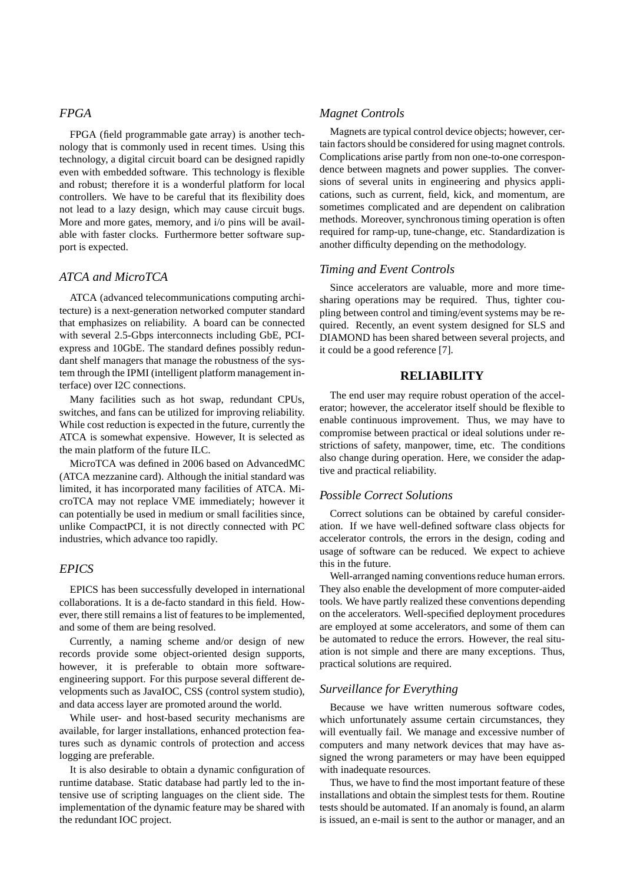# *FPGA*

FPGA (field programmable gate array) is another technology that is commonly used in recent times. Using this technology, a digital circuit board can be designed rapidly even with embedded software. This technology is flexible and robust; therefore it is a wonderful platform for local controllers. We have to be careful that its flexibility does not lead to a lazy design, which may cause circuit bugs. More and more gates, memory, and i/o pins will be available with faster clocks. Furthermore better software support is expected.

# *ATCA and MicroTCA*

ATCA (advanced telecommunications computing architecture) is a next-generation networked computer standard that emphasizes on reliability. A board can be connected with several 2.5-Gbps interconnects including GbE, PCIexpress and 10GbE. The standard defines possibly redundant shelf managers that manage the robustness of the system through the IPMI (intelligent platform management interface) over I2C connections.

Many facilities such as hot swap, redundant CPUs, switches, and fans can be utilized for improving reliability. While cost reduction is expected in the future, currently the ATCA is somewhat expensive. However, It is selected as the main platform of the future ILC.

MicroTCA was defined in 2006 based on AdvancedMC (ATCA mezzanine card). Although the initial standard was limited, it has incorporated many facilities of ATCA. MicroTCA may not replace VME immediately; however it can potentially be used in medium or small facilities since, unlike CompactPCI, it is not directly connected with PC industries, which advance too rapidly.

# *EPICS*

EPICS has been successfully developed in international collaborations. It is a de-facto standard in this field. However, there still remains a list of features to be implemented, and some of them are being resolved.

Currently, a naming scheme and/or design of new records provide some object-oriented design supports, however, it is preferable to obtain more softwareengineering support. For this purpose several different developments such as JavaIOC, CSS (control system studio), and data access layer are promoted around the world.

While user- and host-based security mechanisms are available, for larger installations, enhanced protection features such as dynamic controls of protection and access logging are preferable.

It is also desirable to obtain a dynamic configuration of runtime database. Static database had partly led to the intensive use of scripting languages on the client side. The implementation of the dynamic feature may be shared with the redundant IOC project.

## *Magnet Controls*

Magnets are typical control device objects; however, certain factors should be considered for using magnet controls. Complications arise partly from non one-to-one correspondence between magnets and power supplies. The conversions of several units in engineering and physics applications, such as current, field, kick, and momentum, are sometimes complicated and are dependent on calibration methods. Moreover, synchronous timing operation is often required for ramp-up, tune-change, etc. Standardization is another difficulty depending on the methodology.

## *Timing and Event Controls*

Since accelerators are valuable, more and more timesharing operations may be required. Thus, tighter coupling between control and timing/event systems may be required. Recently, an event system designed for SLS and DIAMOND has been shared between several projects, and it could be a good reference [7].

### **RELIABILITY**

The end user may require robust operation of the accelerator; however, the accelerator itself should be flexible to enable continuous improvement. Thus, we may have to compromise between practical or ideal solutions under restrictions of safety, manpower, time, etc. The conditions also change during operation. Here, we consider the adaptive and practical reliability.

# *Possible Correct Solutions*

Correct solutions can be obtained by careful consideration. If we have well-defined software class objects for accelerator controls, the errors in the design, coding and usage of software can be reduced. We expect to achieve this in the future.

Well-arranged naming conventions reduce human errors. They also enable the development of more computer-aided tools. We have partly realized these conventions depending on the accelerators. Well-specified deployment procedures are employed at some accelerators, and some of them can be automated to reduce the errors. However, the real situation is not simple and there are many exceptions. Thus, practical solutions are required.

# *Surveillance for Everything*

Because we have written numerous software codes, which unfortunately assume certain circumstances, they will eventually fail. We manage and excessive number of computers and many network devices that may have assigned the wrong parameters or may have been equipped with inadequate resources.

Thus, we have to find the most important feature of these installations and obtain the simplest tests for them. Routine tests should be automated. If an anomaly is found, an alarm is issued, an e-mail is sent to the author or manager, and an